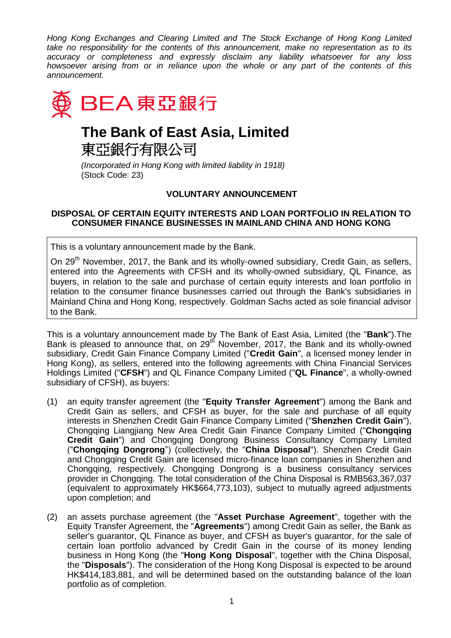*Hong Kong Exchanges and Clearing Limited and The Stock Exchange of Hong Kong Limited take no responsibility for the contents of this announcement, make no representation as to its accuracy or completeness and expressly disclaim any liability whatsoever for any loss howsoever arising from or in reliance upon the whole or any part of the contents of this announcement.*



## **The Bank of East Asia, Limited** 東亞銀行有限公司

*(Incorporated in Hong Kong with limited liability in 1918)* (Stock Code: 23)

## **VOLUNTARY ANNOUNCEMENT**

## **DISPOSAL OF CERTAIN EQUITY INTERESTS AND LOAN PORTFOLIO IN RELATION TO CONSUMER FINANCE BUSINESSES IN MAINLAND CHINA AND HONG KONG**

This is a voluntary announcement made by the Bank.

On 29<sup>th</sup> November, 2017, the Bank and its wholly-owned subsidiary, Credit Gain, as sellers, entered into the Agreements with CFSH and its wholly-owned subsidiary, QL Finance, as buyers, in relation to the sale and purchase of certain equity interests and loan portfolio in relation to the consumer finance businesses carried out through the Bank's subsidiaries in Mainland China and Hong Kong, respectively. Goldman Sachs acted as sole financial advisor to the Bank.

This is a voluntary announcement made by The Bank of East Asia, Limited (the "**Bank**").The Bank is pleased to announce that, on  $29<sup>th</sup>$  November, 2017, the Bank and its wholly-owned subsidiary, Credit Gain Finance Company Limited ("**Credit Gain**", a licensed money lender in Hong Kong), as sellers, entered into the following agreements with China Financial Services Holdings Limited ("**CFSH**") and QL Finance Company Limited ("**QL Finance**", a wholly-owned subsidiary of CFSH), as buyers:

- (1) an equity transfer agreement (the "**Equity Transfer Agreement**") among the Bank and Credit Gain as sellers, and CFSH as buyer, for the sale and purchase of all equity interests in Shenzhen Credit Gain Finance Company Limited ("**Shenzhen Credit Gain**"), Chongqing Liangjiang New Area Credit Gain Finance Company Limited ("**Chongqing Credit Gain**") and Chongqing Dongrong Business Consultancy Company Limited ("**Chongqing Dongrong**") (collectively, the "**China Disposal**"). Shenzhen Credit Gain and Chongqing Credit Gain are licensed micro-finance loan companies in Shenzhen and Chongqing, respectively. Chongqing Dongrong is a business consultancy services provider in Chongqing. The total consideration of the China Disposal is RMB563,367,037 (equivalent to approximately HK\$664,773,103), subject to mutually agreed adjustments upon completion; and
- (2) an assets purchase agreement (the "**Asset Purchase Agreement**", together with the Equity Transfer Agreement, the "**Agreements**") among Credit Gain as seller, the Bank as seller's guarantor, QL Finance as buyer, and CFSH as buyer's guarantor, for the sale of certain loan portfolio advanced by Credit Gain in the course of its money lending business in Hong Kong (the "**Hong Kong Disposal**", together with the China Disposal, the "**Disposals**"). The consideration of the Hong Kong Disposal is expected to be around HK\$414,183,881, and will be determined based on the outstanding balance of the loan portfolio as of completion.